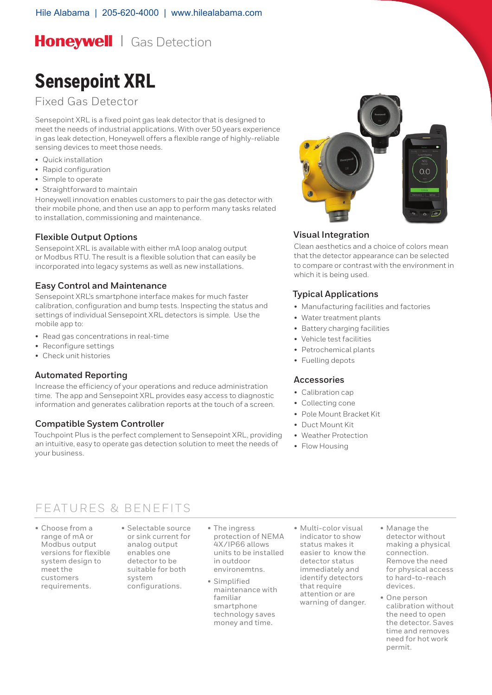**Honeywell** | Gas Detection

# **Sensepoint XRL**

Fixed Gas Detector

Sensepoint XRL is a fixed point gas leak detector that is designed to meet the needs of industrial applications. With over 50 years experience in gas leak detection, Honeywell offers a flexible range of highly-reliable sensing devices to meet those needs.

- • Quick installation
- Rapid configuration
- • Simple to operate
- Straightforward to maintain

Honeywell innovation enables customers to pair the gas detector with their mobile phone, and then use an app to perform many tasks related to installation, commissioning and maintenance.

# **Flexible Output Options**

Sensepoint XRL is available with either mA loop analog output or Modbus RTU. The result is a flexible solution that can easily be incorporated into legacy systems as well as new installations.

### **Easy Control and Maintenance**

Sensepoint XRL's smartphone interface makes for much faster calibration, configuration and bump tests. Inspecting the status and settings of individual Sensepoint XRL detectors is simple. Use the mobile app to:

- Read gas concentrations in real-time
- Reconfigure settings
- • Check unit histories

### **Automated Reporting**

Increase the efficiency of your operations and reduce administration time. The app and Sensepoint XRL provides easy access to diagnostic information and generates calibration reports at the touch of a screen.

### **Compatible System Controller**

Touchpoint Plus is the perfect complement to Sensepoint XRL, providing an intuitive, easy to operate gas detection solution to meet the needs of your business.



# **Visual Integration**

Clean aesthetics and a choice of colors mean that the detector appearance can be selected to compare or contrast with the environment in which it is being used.

# **Typical Applications**

- • Manufacturing facilities and factories
- • Water treatment plants
- • Battery charging facilities
- • Vehicle test facilities
- • Petrochemical plants
- Fuelling depots

### **Accessories**

- Calibration cap
- • Collecting cone
- • Pole Mount Bracket Kit
- • Duct Mount Kit
- • Weather Protection
- Flow Housing

# FEATURES & BENEFITS

- • Choose from a range of mA or Modbus output versions for flexible system design to meet the customers requirements.
- • Selectable source or sink current for analog output enables one detector to be suitable for both system configurations.
- • The ingress protection of NEMA 4X/IP66 allows units to be installed in outdoor environemtns.
- • Simplified maintenance with familiar smartphone technology saves money and time.
- • Multi-color visual indicator to show status makes it easier to know the detector status immediately and identify detectors that require attention or are warning of danger.
- • Manage the detector without making a physical connection. Remove the need for physical access to hard-to-reach devices.
- • One person calibration without the need to open the detector. Saves time and removes need for hot work permit.